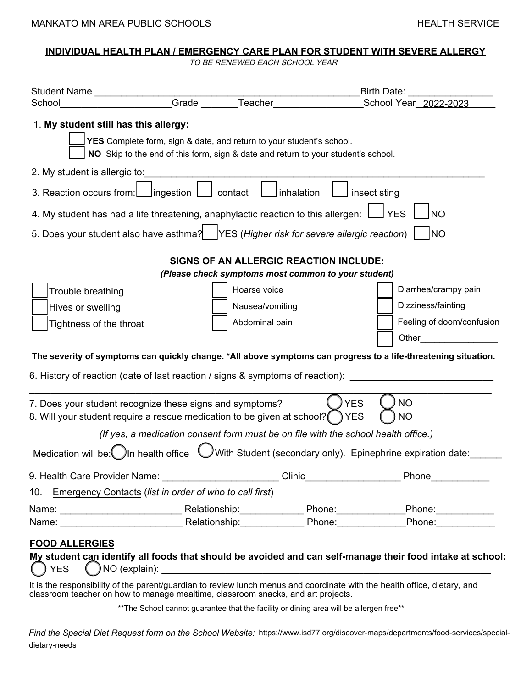#### **INDIVIDUAL HEALTH PLAN / EMERGENCY CARE PLAN FOR STUDENT WITH SEVERE ALLERGY**

TO BE RENEWED EACH SCHOOL YEAR

| Student Name <b>Student</b> Name                                                                             |                                                                                                                                                           | Birth Date:                                         |                                                                                                                 |  |  |  |  |  |  |
|--------------------------------------------------------------------------------------------------------------|-----------------------------------------------------------------------------------------------------------------------------------------------------------|-----------------------------------------------------|-----------------------------------------------------------------------------------------------------------------|--|--|--|--|--|--|
| School                                                                                                       |                                                                                                                                                           | Grade Teacher                                       | School Year 2022-2023                                                                                           |  |  |  |  |  |  |
| 1. My student still has this allergy:                                                                        | YES Complete form, sign & date, and return to your student's school.<br>NO Skip to the end of this form, sign & date and return to your student's school. |                                                     |                                                                                                                 |  |  |  |  |  |  |
| 2. My student is allergic to:                                                                                |                                                                                                                                                           |                                                     |                                                                                                                 |  |  |  |  |  |  |
| 3. Reaction occurs from:         ingestion                                                                   | contact                                                                                                                                                   | Inhalation                                          | insect sting                                                                                                    |  |  |  |  |  |  |
| 4. My student has had a life threatening, anaphylactic reaction to this allergen:<br><b>YES</b><br><b>NO</b> |                                                                                                                                                           |                                                     |                                                                                                                 |  |  |  |  |  |  |
| 5. Does your student also have asthma? YES (Higher risk for severe allergic reaction)<br><b>INO</b>          |                                                                                                                                                           |                                                     |                                                                                                                 |  |  |  |  |  |  |
| <b>SIGNS OF AN ALLERGIC REACTION INCLUDE:</b>                                                                |                                                                                                                                                           |                                                     |                                                                                                                 |  |  |  |  |  |  |
|                                                                                                              |                                                                                                                                                           | (Please check symptoms most common to your student) |                                                                                                                 |  |  |  |  |  |  |
| Trouble breathing                                                                                            |                                                                                                                                                           | Hoarse voice                                        | Diarrhea/crampy pain                                                                                            |  |  |  |  |  |  |
| Hives or swelling                                                                                            |                                                                                                                                                           | Nausea/vomiting                                     | Dizziness/fainting                                                                                              |  |  |  |  |  |  |
| Tightness of the throat                                                                                      |                                                                                                                                                           | Abdominal pain                                      | Feeling of doom/confusion                                                                                       |  |  |  |  |  |  |
|                                                                                                              |                                                                                                                                                           |                                                     | Other                                                                                                           |  |  |  |  |  |  |
|                                                                                                              | 6. History of reaction (date of last reaction / signs & symptoms of reaction): _                                                                          |                                                     | The severity of symptoms can quickly change. *All above symptoms can progress to a life-threatening situation.  |  |  |  |  |  |  |
|                                                                                                              | 7. Does your student recognize these signs and symptoms?                                                                                                  | <b>YES</b>                                          | <b>NO</b>                                                                                                       |  |  |  |  |  |  |
|                                                                                                              | 8. Will your student require a rescue medication to be given at school? TYES                                                                              |                                                     | <b>NO</b>                                                                                                       |  |  |  |  |  |  |
|                                                                                                              | (If yes, a medication consent form must be on file with the school health office.)                                                                        |                                                     |                                                                                                                 |  |  |  |  |  |  |
| Medication will be: In health office                                                                         |                                                                                                                                                           |                                                     | With Student (secondary only). Epinephrine expiration date:                                                     |  |  |  |  |  |  |
|                                                                                                              | 9. Health Care Provider Name: _________________________Clinic___________________                                                                          |                                                     | Phone____________                                                                                               |  |  |  |  |  |  |
|                                                                                                              | 10. Emergency Contacts (list in order of who to call first)                                                                                               |                                                     |                                                                                                                 |  |  |  |  |  |  |
|                                                                                                              |                                                                                                                                                           |                                                     |                                                                                                                 |  |  |  |  |  |  |
|                                                                                                              |                                                                                                                                                           |                                                     |                                                                                                                 |  |  |  |  |  |  |
| <b>FOOD ALLERGIES</b>                                                                                        |                                                                                                                                                           |                                                     |                                                                                                                 |  |  |  |  |  |  |
|                                                                                                              |                                                                                                                                                           |                                                     | My student can identify all foods that should be avoided and can self-manage their food intake at school:       |  |  |  |  |  |  |
|                                                                                                              |                                                                                                                                                           |                                                     | as a set the of the computer of the continuation by the company of constants with the booth office distance and |  |  |  |  |  |  |

It is the responsibility of the parent/guardian to review lunch menus and coordinate with the health office, dietary, and classroom teacher on how to manage mealtime, classroom snacks, and art projects.

\*\*The School cannot guarantee that the facility or dining area will be allergen free\*\*

*Find the Special Diet Request form on the School Website:* https://www.isd77.org/discover-maps/departments/food-services/specialdietary-needs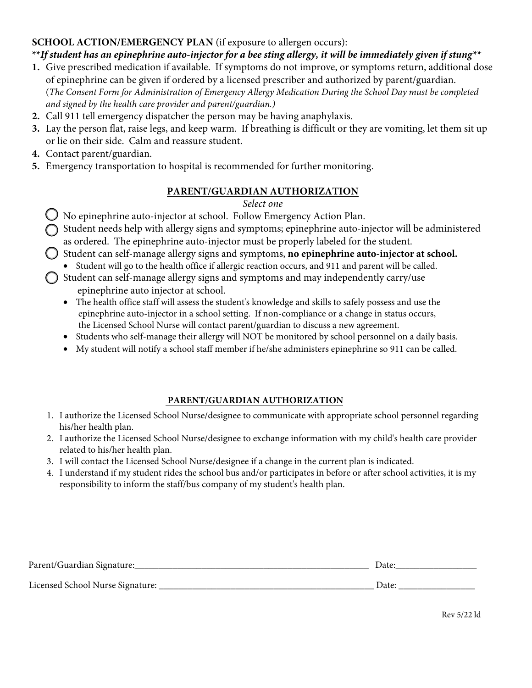## **SCHOOL ACTION/EMERGENCY PLAN** (if exposure to allergen occurs):

## **\*\****If student has an epinephrine auto-injector for a bee sting allergy, it will be immediately given if stung\*\**

- **1.** Give prescribed medication if available. If symptoms do not improve, or symptoms return, additional dose of epinephrine can be given if ordered by a licensed prescriber and authorized by parent/guardian. (*The Consent Form for Administration of Emergency Allergy Medication During the School Day must be completed*
- *and signed by the health care provider and parent/guardian.)* **2.** Call 911 tell emergency dispatcher the person may be having anaphylaxis.
- **3.** Lay the person flat, raise legs, and keep warm. If breathing is difficult or they are vomiting, let them sit up or lie on their side. Calm and reassure student.
- **4.** Contact parent/guardian.
- **5.** Emergency transportation to hospital is recommended for further monitoring.

## **PARENT/GUARDIAN AUTHORIZATION**

#### *Select one*

- No epinephrine auto-injector at school. Follow Emergency Action Plan.
- Student needs help with allergy signs and symptoms; epinephrine auto-injector will be administered as ordered. The epinephrine auto-injector must be properly labeled for the student.
- Student can self-manage allergy signs and symptoms, **no epinephrine auto-injector at school.**
- Student will go to the health office if allergic reaction occurs, and 911 and parent will be called.
- $\bigcirc$  Student can self-manage allergy signs and symptoms and may independently carry/use epinephrine auto injector at school.
	- The health office staff will assess the student's knowledge and skills to safely possess and use the epinephrine auto-injector in a school setting. If non-compliance or a change in status occurs, the Licensed School Nurse will contact parent/guardian to discuss a new agreement.
	- Students who self-manage their allergy will NOT be monitored by school personnel on a daily basis.
	- My student will notify a school staff member if he/she administers epinephrine so 911 can be called.

### **PARENT/GUARDIAN AUTHORIZATION**

- 1. I authorize the Licensed School Nurse/designee to communicate with appropriate school personnel regarding his/her health plan.
- 2. I authorize the Licensed School Nurse/designee to exchange information with my child's health care provider related to his/her health plan.
- 3. I will contact the Licensed School Nurse/designee if a change in the current plan is indicated.
- 4. I understand if my student rides the school bus and/or participates in before or after school activities, it is my responsibility to inform the staff/bus company of my student's health plan.

| Parent/Guardian Signature:       | Date: |
|----------------------------------|-------|
| Licensed School Nurse Signature: | Date: |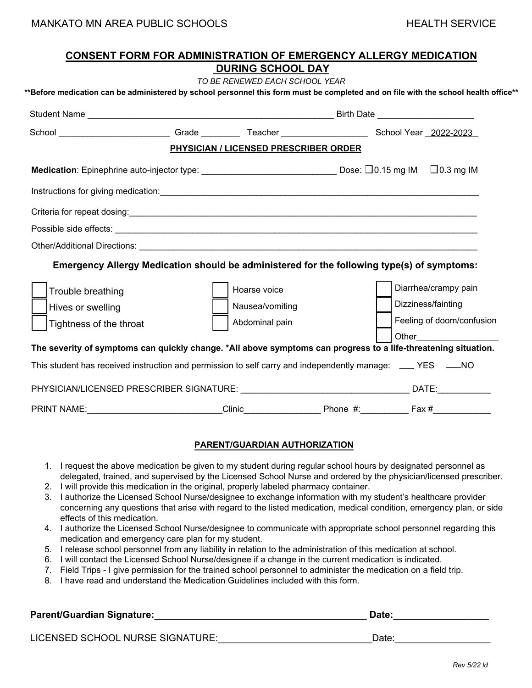| <b>CONSENT FORM FOR ADMINISTRATION OF EMERGENCY ALLERGY MEDICATION</b>                                                                                                |  |                 |  |  |                           |  |  |  |  |
|-----------------------------------------------------------------------------------------------------------------------------------------------------------------------|--|-----------------|--|--|---------------------------|--|--|--|--|
| <b>DURING SCHOOL DAY</b>                                                                                                                                              |  |                 |  |  |                           |  |  |  |  |
| TO BE RENEWED EACH SCHOOL YEAR<br>**Before medication can be administered by school personnel this form must be completed and on file with the school health office** |  |                 |  |  |                           |  |  |  |  |
|                                                                                                                                                                       |  |                 |  |  |                           |  |  |  |  |
| School ________________________Grade ___________Teacher ________________________School Year _2022-2023                                                                |  |                 |  |  |                           |  |  |  |  |
| <b>PHYSICIAN / LICENSED PRESCRIBER ORDER</b>                                                                                                                          |  |                 |  |  |                           |  |  |  |  |
|                                                                                                                                                                       |  |                 |  |  | $\Box$ 0.3 mg IM          |  |  |  |  |
|                                                                                                                                                                       |  |                 |  |  |                           |  |  |  |  |
|                                                                                                                                                                       |  |                 |  |  |                           |  |  |  |  |
|                                                                                                                                                                       |  |                 |  |  |                           |  |  |  |  |
| Other/Additional Directions: <b>www.community.community.community.community.community.community.community.community.community.community.com</b>                       |  |                 |  |  |                           |  |  |  |  |
| Emergency Allergy Medication should be administered for the following type(s) of symptoms:                                                                            |  |                 |  |  |                           |  |  |  |  |
| Trouble breathing                                                                                                                                                     |  | Hoarse voice    |  |  | Diarrhea/crampy pain      |  |  |  |  |
| Hives or swelling                                                                                                                                                     |  | Nausea/vomiting |  |  | Dizziness/fainting        |  |  |  |  |
| Tightness of the throat                                                                                                                                               |  | Abdominal pain  |  |  | Feeling of doom/confusion |  |  |  |  |
| The severity of symptoms can quickly change. *All above symptoms can progress to a life-threatening situation.                                                        |  |                 |  |  | <b>Other Community</b>    |  |  |  |  |
| This student has received instruction and permission to self carry and independently manage: ____ YES ____NO                                                          |  |                 |  |  |                           |  |  |  |  |
|                                                                                                                                                                       |  |                 |  |  |                           |  |  |  |  |
| PRINT NAME: ____________________________Clinic______________________Phone #:__________________________________                                                        |  |                 |  |  |                           |  |  |  |  |

#### **PARENT/GUARDIAN AUTHORIZATION**

- 1. I request the above medication be given to my student during regular school hours by designated personnel as delegated, trained, and supervised by the Licensed School Nurse and ordered by the physician/licensed prescriber.
- 2. I will provide this medication in the original, properly labeled pharmacy container.
- 3. I authorize the Licensed School Nurse/designee to exchange information with my student's healthcare provider concerning any questions that arise with regard to the listed medication, medical condition, emergency plan, or side effects of this medication.
- 4. I authorize the Licensed School Nurse/designee to communicate with appropriate school personnel regarding this medication and emergency care plan for my student.
- 5. I release school personnel from any liability in relation to the administration of this medication at school.
- 6. I will contact the Licensed School Nurse/designee if a change in the current medication is indicated.
- 7. Field Trips I give permission for the trained school personnel to administer the medication on a field trip.
- 8. I have read and understand the Medication Guidelines included with this form.

# **Parent/Guardian Signature:\_\_\_\_\_\_\_\_\_\_\_\_\_\_\_\_\_\_\_\_\_\_\_\_\_\_\_\_\_\_\_\_\_\_\_\_\_\_\_\_ Date:\_\_\_\_\_\_\_\_\_\_\_\_\_\_\_\_\_\_**

LICENSED SCHOOL NURSE SIGNATURE: \_\_\_\_\_\_\_\_\_\_\_\_\_\_\_\_\_\_\_\_\_\_\_\_\_\_\_\_\_\_\_\_\_Date: